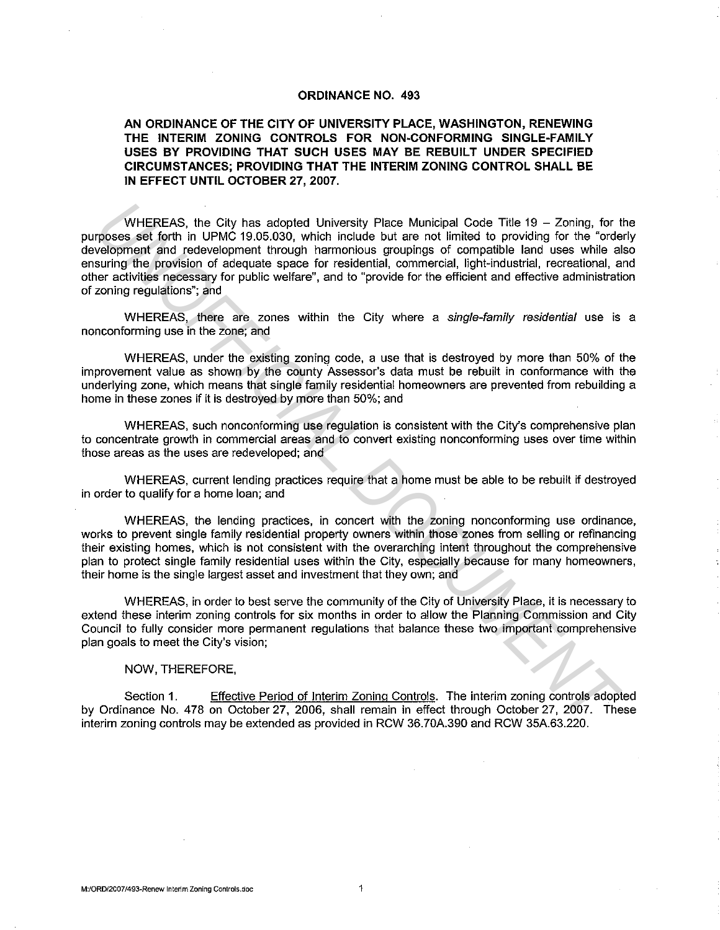## **ORDINANCE NO. 493**

**AN ORDINANCE OF THE CITY OF UNIVERSITY PLACE, WASHINGTON, RENEWING THE INTERIM ZONING CONTROLS FOR NON-CONFORMING SINGLE-FAMILY USES BY PROVIDING THAT SUCH USES MAY BE REBUILT UNDER SPECIFIED CIRCUMSTANCES; PROVIDING THAT THE INTERIM ZONING CONTROL SHALL BE IN EFFECT UNTIL OCTOBER 27, 2007.** 

WHEREAS, the City has adopted University Place Municipal Code Title  $19 - Z$ oning, for the purposes set forth in UPMC 19.05.030, which include but are not limited to providing for the "orderly development and redevelopment through harmonious groupings of compatible land uses while also ensuring the provision of adequate space for residential, commercial, light-industrial, recreational, and other activities necessary for public welfare", and to "provide for the efficient and effective administration of zoning regulations"; and WHEREAS, the City has adopted University Place Municipal Code Tile 19 – Zoning, for the compones of forth in UPMC 19.05.030, which include but are not limited to provident for the "order" and the component through the root

WHEREAS, there are zones within the City where a single-family residential use is a nonconforming use in the zone; and

WHEREAS, under the existing zoning code, a use that is destroyed by more than 50% of the improvement value as shown by the county Assessor's data must be rebuilt in conformance with the underlying zone, which means that single family residential homeowners are prevented from rebuilding a home in these zones if it is destroyed by more than 50%; and

WHEREAS, such nonconforming use regulation is consistent with the City's comprehensive plan to concentrate growth in commercial areas and to convert existing nonconforming uses over time within those areas as the uses are redeveloped; and

WHEREAS, current lending practices require that a home must be able to be rebuilt if destroyed in order to qualify for a home loan; and

WHEREAS, the lending practices, in concert with the zoning nonconforming use ordinance, works to prevent single family residential property owners within those zones from selling or refinancing their existing homes, which is not consistent with the overarching intent throughout the comprehensive plan to protect single family residential uses within the City, especially because for many homeowners, their home is the single largest asset and investment that they own; and

WHEREAS, in order to best serve the community of the City of University Place, it is necessary to extend these interim zoning controls for six months in order to allow the Planning Commission and City Council to fully consider more permanent regulations that balance these two important comprehensive plan goals to meet the City's vision;

## NOW, THEREFORE,

Section 1. Effective Period of Interim Zoning Controls. The interim zoning controls adopted by Ordinance No. 478 on October 27, 2006, shall remain in effect through October 27, 2007. These interim zoning controls may be extended as provided in RCW 36.70A.390 and RCW 35A.63.220.